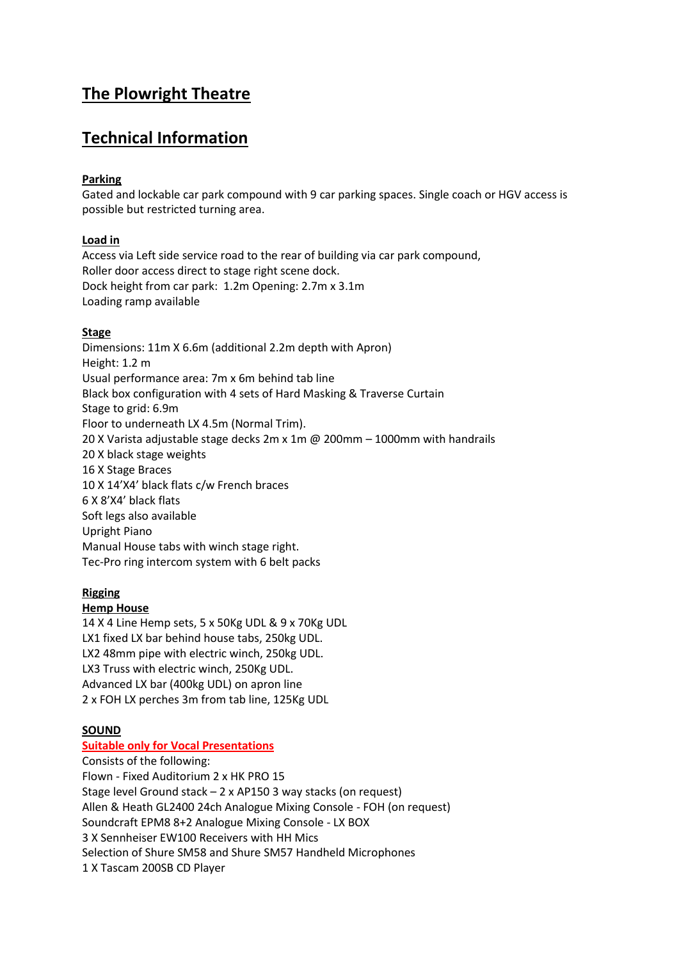# **The Plowright Theatre**

# **Technical Information**

## **Parking**

Gated and lockable car park compound with 9 car parking spaces. Single coach or HGV access is possible but restricted turning area.

## **Load in**

Access via Left side service road to the rear of building via car park compound, Roller door access direct to stage right scene dock. Dock height from car park: 1.2m Opening: 2.7m x 3.1m Loading ramp available

## **Stage**

Dimensions: 11m X 6.6m (additional 2.2m depth with Apron) Height: 1.2 m Usual performance area: 7m x 6m behind tab line Black box configuration with 4 sets of Hard Masking & Traverse Curtain Stage to grid: 6.9m Floor to underneath LX 4.5m (Normal Trim). 20 X Varista adjustable stage decks 2m x 1m @ 200mm – 1000mm with handrails 20 X black stage weights 16 X Stage Braces 10 X 14'X4' black flats c/w French braces 6 X 8'X4' black flats Soft legs also available Upright Piano Manual House tabs with winch stage right. Tec-Pro ring intercom system with 6 belt packs

## **Rigging**

## **Hemp House**

14 X 4 Line Hemp sets, 5 x 50Kg UDL & 9 x 70Kg UDL LX1 fixed LX bar behind house tabs, 250kg UDL. LX2 48mm pipe with electric winch, 250kg UDL. LX3 Truss with electric winch, 250Kg UDL. Advanced LX bar (400kg UDL) on apron line 2 x FOH LX perches 3m from tab line, 125Kg UDL

# **SOUND**

## **Suitable only for Vocal Presentations**

Consists of the following: Flown - Fixed Auditorium 2 x HK PRO 15 Stage level Ground stack – 2 x AP150 3 way stacks (on request) Allen & Heath GL2400 24ch Analogue Mixing Console - FOH (on request) Soundcraft EPM8 8+2 Analogue Mixing Console - LX BOX 3 X Sennheiser EW100 Receivers with HH Mics Selection of Shure SM58 and Shure SM57 Handheld Microphones 1 X Tascam 200SB CD Player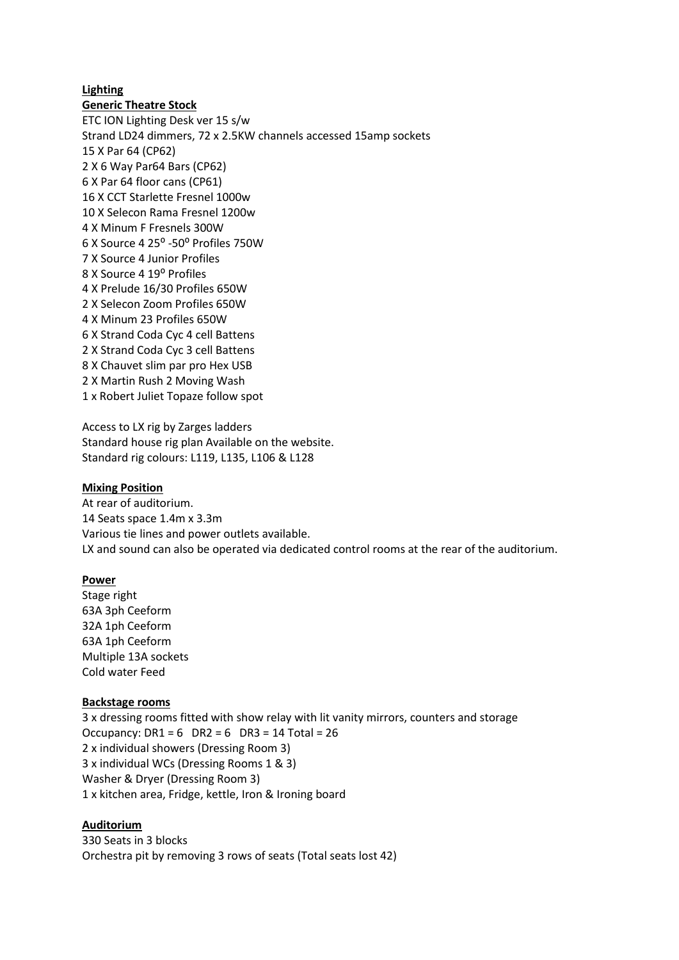### **Lighting**

### **Generic Theatre Stock**

ETC ION Lighting Desk ver 15 s/w Strand LD24 dimmers, 72 x 2.5KW channels accessed 15amp sockets 15 X Par 64 (CP62) 2 X 6 Way Par64 Bars (CP62) 6 X Par 64 floor cans (CP61) 16 X CCT Starlette Fresnel 1000w 10 X Selecon Rama Fresnel 1200w 4 X Minum F Fresnels 300W 6 X Source 4 25⁰ -50⁰ Profiles 750W 7 X Source 4 Junior Profiles 8 X Source 4 19<sup>°</sup> Profiles 4 X Prelude 16/30 Profiles 650W 2 X Selecon Zoom Profiles 650W 4 X Minum 23 Profiles 650W 6 X Strand Coda Cyc 4 cell Battens 2 X Strand Coda Cyc 3 cell Battens 8 X Chauvet slim par pro Hex USB 2 X Martin Rush 2 Moving Wash 1 x Robert Juliet Topaze follow spot

Access to LX rig by Zarges ladders Standard house rig plan Available on the website. Standard rig colours: L119, L135, L106 & L128

#### **Mixing Position**

At rear of auditorium. 14 Seats space 1.4m x 3.3m Various tie lines and power outlets available. LX and sound can also be operated via dedicated control rooms at the rear of the auditorium.

#### **Power**

Stage right 63A 3ph Ceeform 32A 1ph Ceeform 63A 1ph Ceeform Multiple 13A sockets Cold water Feed

#### **Backstage rooms**

3 x dressing rooms fitted with show relay with lit vanity mirrors, counters and storage Occupancy: DR1 = 6 DR2 = 6 DR3 = 14 Total = 26 2 x individual showers (Dressing Room 3) 3 x individual WCs (Dressing Rooms 1 & 3) Washer & Dryer (Dressing Room 3) 1 x kitchen area, Fridge, kettle, Iron & Ironing board

#### **Auditorium**

330 Seats in 3 blocks Orchestra pit by removing 3 rows of seats (Total seats lost 42)